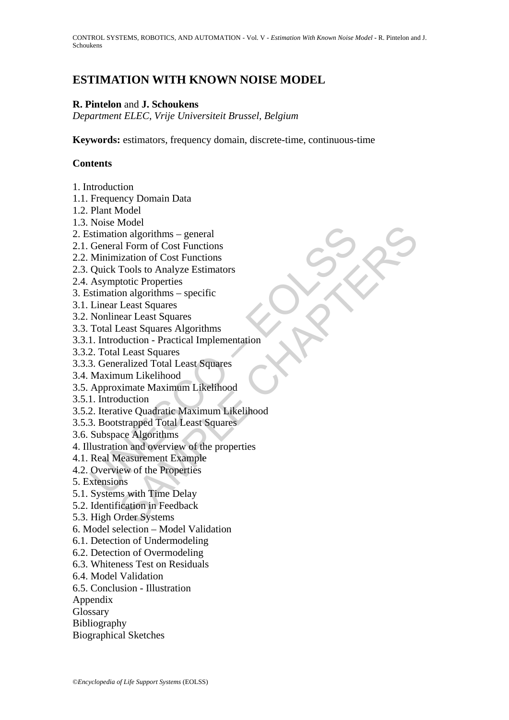# **ESTIMATION WITH KNOWN NOISE MODEL**

# **R. Pintelon** and **J. Schoukens**

*Department ELEC, Vrije Universiteit Brussel, Belgium* 

**Keywords:** estimators, frequency domain, discrete-time, continuous-time

## **Contents**

- 1. Introduction
- 1.1. Frequency Domain Data
- 1.2. Plant Model
- 1.3. Noise Model
- 2. Estimation algorithms general
- 2.1. General Form of Cost Functions
- 2.2. Minimization of Cost Functions
- 2.3. Quick Tools to Analyze Estimators
- 2.4. Asymptotic Properties
- 3. Estimation algorithms specific
- 3.1. Linear Least Squares
- 3.2. Nonlinear Least Squares
- 3.3. Total Least Squares Algorithms
- 3.3.1. Introduction Practical Implementation
- 3.3.2. Total Least Squares
- 3.3.3. Generalized Total Least Squares
- 3.4. Maximum Likelihood
- 3.5. Approximate Maximum Likelihood
- 3.5.1. Introduction
- Function algorithms general<br>
stimation algorithms general<br>
General Form of Cost Functions<br>
Minimization of Cost Functions<br>
Asymptotic Properties<br>
Asymptotic Properties<br>
Linear Least Squares<br>
Linear Least Squares<br>
Nonli whole<br>
in algorithms – general<br>
al Form of Cost Functions<br>
ization of Cost Functions<br>
violio Analyze Estimators<br>
totic Properties<br>
Least Squares<br>
ceast Least Squares<br>
ceast Squares<br>
ceast Squares<br>
duction - Practical Imple 3.5.2. Iterative Quadratic Maximum Likelihood
- 3.5.3. Bootstrapped Total Least Squares
- 3.6. Subspace Algorithms
- 4. Illustration and overview of the properties
- 4.1. Real Measurement Example
- 4.2. Overview of the Properties
- 5. Extensions
- 5.1. Systems with Time Delay
- 5.2. Identification in Feedback
- 5.3. High Order Systems
- 6. Model selection Model Validation
- 6.1. Detection of Undermodeling
- 6.2. Detection of Overmodeling
- 6.3. Whiteness Test on Residuals
- 6.4. Model Validation
- 6.5. Conclusion Illustration
- Appendix
- Glossary
- Bibliography
- Biographical Sketches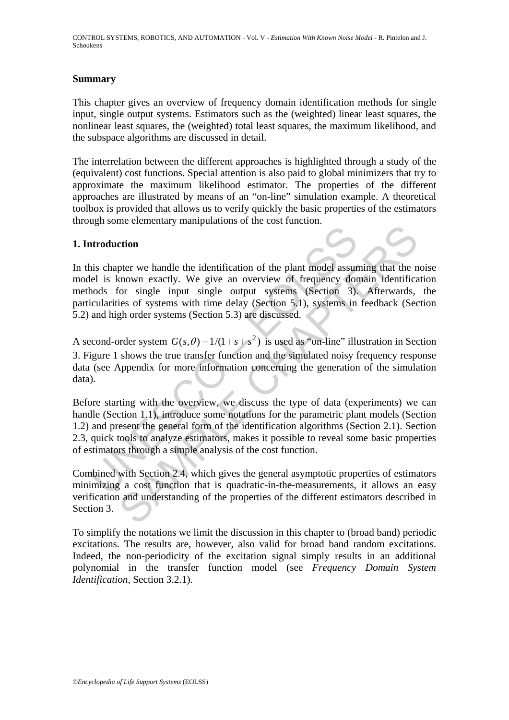## **Summary**

This chapter gives an overview of frequency domain identification methods for single input, single output systems. Estimators such as the (weighted) linear least squares, the nonlinear least squares, the (weighted) total least squares, the maximum likelihood, and the subspace algorithms are discussed in detail.

The interrelation between the different approaches is highlighted through a study of the (equivalent) cost functions. Special attention is also paid to global minimizers that try to approximate the maximum likelihood estimator. The properties of the different approaches are illustrated by means of an "on-line" simulation example. A theoretical toolbox is provided that allows us to verify quickly the basic properties of the estimators through some elementary manipulations of the cost function.

## **1. Introduction**

**Introduction**<br>
throduction<br>
this chapter we handle the identification of the plant model assure<br>
lel is known exactly. We give an overview of frequency dor<br>
hods for single input single output systems (Section 3.)<br>
cicul ortion<br>of the vehicle the identification of the plant model assuming that the n<br>shown exactly. We give an overview of frequency domain identificatior<br>or single input single output systems (Section 3). Afterwards,<br>ies of s In this chapter we handle the identification of the plant model assuming that the noise model is known exactly. We give an overview of frequency domain identification methods for single input single output systems (Section 3). Afterwards, the particularities of systems with time delay (Section 5.1), systems in feedback (Section 5.2) and high order systems (Section 5.3) are discussed.

A second-order system  $G(s, \theta) = 1/(1 + s + s^2)$  is used as "on-line" illustration in Section 3. Figure 1 shows the true transfer function and the simulated noisy frequency response data (see Appendix for more information concerning the generation of the simulation data).

Before starting with the overview, we discuss the type of data (experiments) we can handle (Section 1.1), introduce some notations for the parametric plant models (Section 1.2) and present the general form of the identification algorithms (Section 2.1). Section 2.3, quick tools to analyze estimators, makes it possible to reveal some basic properties of estimators through a simple analysis of the cost function.

Combined with Section 2.4, which gives the general asymptotic properties of estimators minimizing a cost function that is quadratic-in-the-measurements, it allows an easy verification and understanding of the properties of the different estimators described in Section 3.

To simplify the notations we limit the discussion in this chapter to (broad band) periodic excitations. The results are, however, also valid for broad band random excitations. Indeed, the non-periodicity of the excitation signal simply results in an additional polynomial in the transfer function model (see *Frequency Domain System Identification*, Section 3.2.1).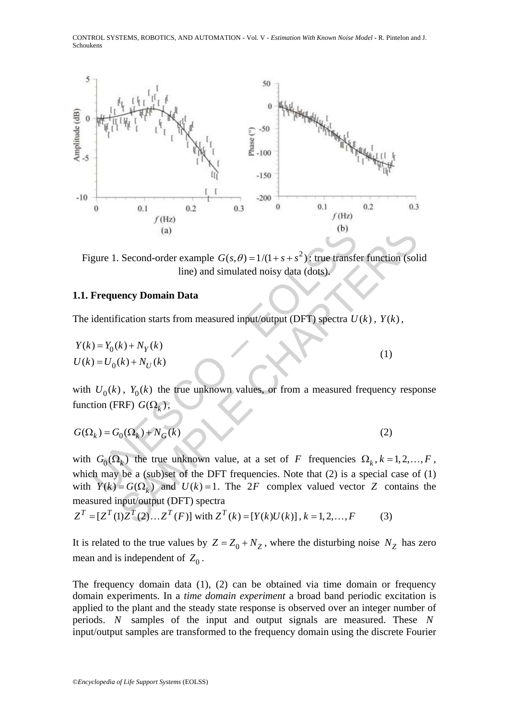CONTROL SYSTEMS, ROBOTICS, AND AUTOMATION - Vol. V - *Estimation With Known Noise Model* **-** R. Pintelon and J. Schoukens



Figure 1. Second-order example  $G(s, \theta) = 1/(1 + s + s^2)$ ; true transfer function (solid line) and simulated noisy data (dots).

### **1.1. Frequency Domain Data**

The identification starts from measured input/output (DFT) spectra  $U(k)$ ,  $Y(k)$ ,

$$
Y(k) = Y_0(k) + N_Y(k)
$$
  
\n
$$
U(k) = U_0(k) + N_U(k)
$$
\n(1)

with  $U_0(k)$ ,  $Y_0(k)$  the true unknown values, or from a measured frequency response function (FRF)  $G(\Omega_k)$ ,

$$
G(\Omega_k) = G_0(\Omega_k) + N_G(k) \tag{2}
$$

(a)<br>
(b)<br>
igure 1. Second-order example  $G(s, \theta) = 1/(1 + s + s^2)$ : true transfe<br>
line) and simulated noisy data (dots).<br>
Frequency Domain Data<br>
identification starts from measured input/output (DFT) spectra U<br>  $U(t) = V_0(k) + N_V(k)$ (a)<br>
Second-order example  $G(s, \theta) = 1/(1 + s + s^2)$ : true transfer function (sol<br>
line) and simulated noisy data (dots).<br> **ency Domain Data**<br>
Teation starts from measured input/output (DFT) spectra  $U(k)$ ,  $Y(k)$ ,<br>  $k + N_V(k)$ <br>  $(k)$ with  $G_0(\Omega_k)$  the true unknown value, at a set of *F* frequencies  $\Omega_k$ ,  $k = 1,2,...,F$ , which may be a (sub)set of the DFT frequencies. Note that (2) is a special case of (1) with  $\overline{Y}(k) = G(\Omega_k)$  and  $U(k) = 1$ . The 2*F* complex valued vector *Z* contains the measured input/output (DFT) spectra

$$
Z^{T} = [Z^{T}(1)Z^{T}(2)...Z^{T}(F)]
$$
 with  $Z^{T}(k) = [Y(k)U(k)], k = 1, 2,..., F$  (3)

It is related to the true values by  $Z = Z_0 + N_Z$ , where the disturbing noise  $N_Z$  has zero mean and is independent of  $Z_0$ .

The frequency domain data (1), (2) can be obtained via time domain or frequency domain experiments. In a *time domain experiment* a broad band periodic excitation is applied to the plant and the steady state response is observed over an integer number of periods. *N* samples of the input and output signals are measured. These *N* input/output samples are transformed to the frequency domain using the discrete Fourier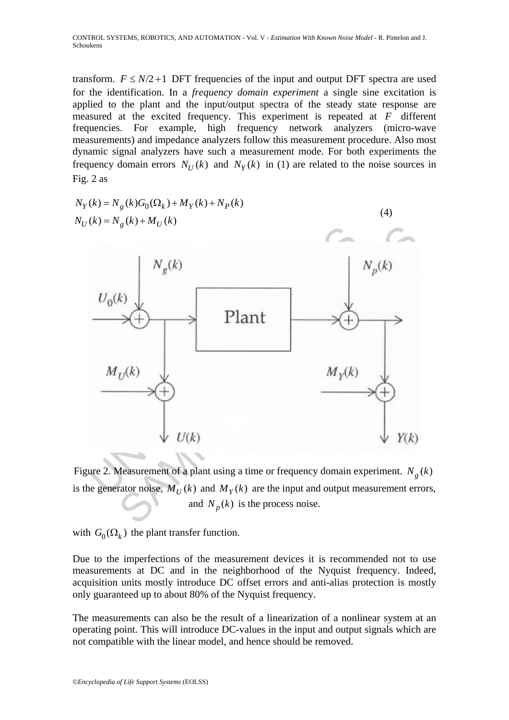transform.  $F \le N/2 + 1$  DFT frequencies of the input and output DFT spectra are used for the identification. In a *frequency domain experiment* a single sine excitation is applied to the plant and the input/output spectra of the steady state response are measured at the excited frequency. This experiment is repeated at *F* different frequencies. For example, high frequency network analyzers (micro-wave measurements) and impedance analyzers follow this measurement procedure. Also most dynamic signal analyzers have such a measurement mode. For both experiments the frequency domain errors  $N_U(k)$  and  $N_Y(k)$  in (1) are related to the noise sources in Fig. 2 as



Figure 2. Measurement of a plant using a time or frequency domain experiment.  $N_g(k)$ is the generator noise,  $M_U(k)$  and  $M_Y(k)$  are the input and output measurement errors, and  $N_p(k)$  is the process noise.

with  $G_0(\Omega_k)$  the plant transfer function.

Due to the imperfections of the measurement devices it is recommended not to use measurements at DC and in the neighborhood of the Nyquist frequency. Indeed, acquisition units mostly introduce DC offset errors and anti-alias protection is mostly only guaranteed up to about 80% of the Nyquist frequency.

The measurements can also be the result of a linearization of a nonlinear system at an operating point. This will introduce DC-values in the input and output signals which are not compatible with the linear model, and hence should be removed.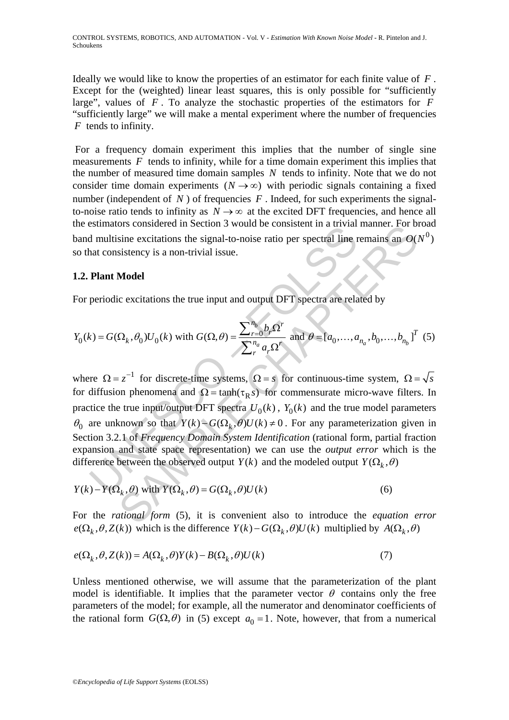Ideally we would like to know the properties of an estimator for each finite value of *F* . Except for the (weighted) linear least squares, this is only possible for "sufficiently large", values of  $F$ . To analyze the stochastic properties of the estimators for  $\overrightarrow{F}$ "sufficiently large" we will make a mental experiment where the number of frequencies *F* tends to infinity.

 For a frequency domain experiment this implies that the number of single sine measurements  $F$  tends to infinity, while for a time domain experiment this implies that the number of measured time domain samples *N* tends to infinity. Note that we do not consider time domain experiments ( $N \rightarrow \infty$ ) with periodic signals containing a fixed number (independent of  $N$ ) of frequencies  $F$ . Indeed, for such experiments the signalto-noise ratio tends to infinity as  $N \rightarrow \infty$  at the excited DFT frequencies, and hence all the estimators considered in Section 3 would be consistent in a trivial manner. For broad band multisine excitations the signal-to-noise ratio per spectral line remains an  $O(N^0)$ so that consistency is a non-trivial issue.

### **1.2. Plant Model**

For periodic excitations the true input and output DFT spectra are related by

$$
Y_0(k) = G(\Omega_k, \theta_0) U_0(k) \text{ with } G(\Omega, \theta) = \frac{\sum_{r=0}^{n_b} b_r \Omega^r}{\sum_{r=0}^{n_a} a_r \Omega^r} \text{ and } \theta = [a_0, \dots, a_{n_a}, b_0, \dots, b_{n_b}]^T
$$
 (5)

Indivision excitations the signal-to-noise ratio per spectral line in<br>
and consistency is a non-trivial issue.<br>
Plant Model<br>
periodic excitations the true input and output DFT spectra are related<br>
periodic excitations the Solution of the signal-to-noise ratio per spectral line remains an  $O(s)$ <br>sine excitations the signal-to-noise ratio per spectral line remains an  $O(s)$ <br>sistency is a non-trivial issue.<br>**Model**<br>c excitations the true input where  $\Omega = z^{-1}$  for discrete-time systems,  $\Omega = s$  for continuous-time system,  $\Omega = \sqrt{s}$ for diffusion phenomena and  $\Omega = \tanh(\tau_R s)$  for commensurate micro-wave filters. In practice the true input/output DFT spectra  $U_0(k)$ ,  $Y_0(k)$  and the true model parameters  $\theta_0$  are unknown so that  $Y(k) - G(\Omega_k, \theta)U(k) \neq 0$ . For any parameterization given in Section 3.2.1 of *Frequency Domain System Identification* (rational form, partial fraction expansion and state space representation) we can use the *output error* which is the difference between the observed output  $Y(k)$  and the modeled output  $Y(\Omega_k, \theta)$ 

$$
Y(k) - Y(\Omega_k, \theta) \text{ with } Y(\Omega_k, \theta) = G(\Omega_k, \theta)U(k)
$$
 (6)

For the *rational form* (5), it is convenient also to introduce the *equation error*  $e(\Omega_k, \theta, Z(k))$  which is the difference  $Y(k) - G(\Omega_k, \theta)U(k)$  multiplied by  $A(\Omega_k, \theta)$ 

$$
e(\Omega_k, \theta, Z(k)) = A(\Omega_k, \theta)Y(k) - B(\Omega_k, \theta)U(k)
$$
\n(7)

Unless mentioned otherwise, we will assume that the parameterization of the plant model is identifiable. It implies that the parameter vector  $\theta$  contains only the free parameters of the model; for example, all the numerator and denominator coefficients of the rational form  $G(\Omega,\theta)$  in (5) except  $a_0 = 1$ . Note, however, that from a numerical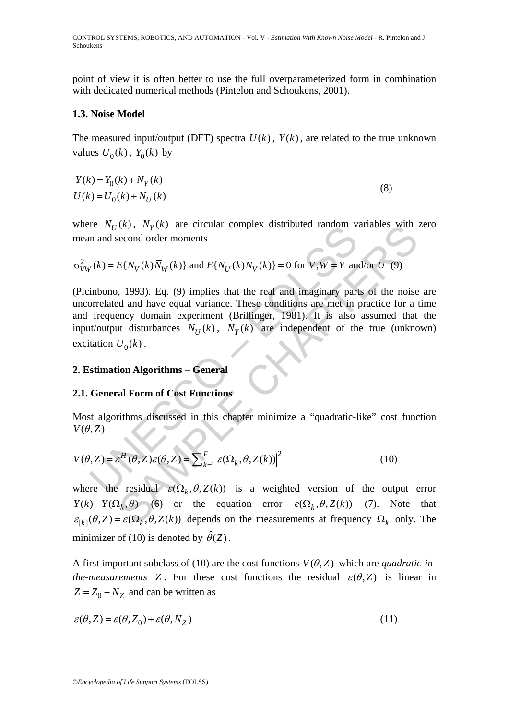CONTROL SYSTEMS, ROBOTICS, AND AUTOMATION - Vol. V - *Estimation With Known Noise Model* **-** R. Pintelon and J. Schoukens

point of view it is often better to use the full overparameterized form in combination with dedicated numerical methods (Pintelon and Schoukens, 2001).

#### **1.3. Noise Model**

The measured input/output (DFT) spectra  $U(k)$ ,  $Y(k)$ , are related to the true unknown values  $U_0(k)$ ,  $Y_0(k)$  by

$$
Y(k) = Y_0(k) + N_Y(k)
$$
  
\n
$$
U(k) = U_0(k) + N_U(k)
$$
\n(8)

where  $N_U(k)$ ,  $N_Y(k)$  are circular complex distributed random variables with zero mean and second order moments

$$
\sigma_{VW}^2(k) = E\{N_V(k)\overline{N}_W(k)\}\
$$
 and  $E\{N_U(k)N_V(k)\}=0$  for  $V, W = Y$  and/or  $U'(9)$ 

 $U_k(k) = E{N_V(k), N_V(k)}$  are circular complex distributed random v<br>
in and second order moments<br>  $U_k(k) = E{N_V(k)\overline{N}_W(k)}$  and  $E{N_U(k)N_V(k)} = 0$  for  $V, W = Y$  and<br>
inbono, 1993). Eq. (9) implies that the real and imaginary particular<br>
o  $E\{N_V(k)\bar{N}_W(k)\}\$ are errotuar complex distributed random variables with<br>econd order moments<br> $E\{N_V(k)\bar{N}_W(k)\}\$  and  $E\{N_U(k)N_V(k)\}=0$  for  $V,W \equiv Y$  and/or  $U$  (9)<br>4) (1993). Eq. (9) implies that the real and imaginary parts of (Picinbono, 1993). Eq. (9) implies that the real and imaginary parts of the noise are uncorrelated and have equal variance. These conditions are met in practice for a time and frequency domain experiment (Brillinger, 1981). It is also assumed that the input/output disturbances  $N_U(k)$ ,  $N_Y(k)$  are independent of the true (unknown) excitation  $U_0(k)$ .

### **2. Estimation Algorithms – General**

# **2.1. General Form of Cost Functions**

Most algorithms discussed in this chapter minimize a "quadratic-like" cost function  $V(\theta, Z)$ 

$$
V(\theta, Z) = \varepsilon^H(\theta, Z)\varepsilon(\theta, Z) = \sum_{k=1}^F \left| \varepsilon(\Omega_k, \theta, Z(k)) \right|^2 \tag{10}
$$

where the residual  $\varepsilon(\Omega_k, \theta, Z(k))$  is a weighted version of the output error  $Y(k) - Y(\Omega_k, \theta)$  (6) or the equation error  $e(\Omega_k, \theta, Z(k))$  (7). Note that  $\epsilon_{[k]}(\theta, Z) = \epsilon(\Omega_k, \theta, Z(k))$  depends on the measurements at frequency  $\Omega_k$  only. The minimizer of (10) is denoted by  $\hat{\theta}(Z)$ .

A first important subclass of (10) are the cost functions  $V(\theta, Z)$  which are *quadratic-inthe-measurements* Z. For these cost functions the residual  $\varepsilon(\theta, Z)$  is linear in  $Z = Z_0 + N_z$  and can be written as

$$
\varepsilon(\theta, Z) = \varepsilon(\theta, Z_0) + \varepsilon(\theta, N_Z)
$$
\n(11)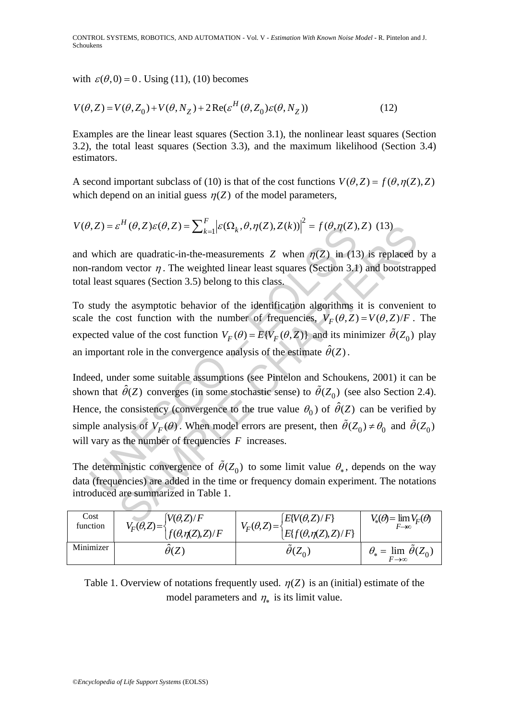with  $\varepsilon(\theta, 0) = 0$ . Using (11), (10) becomes

$$
V(\theta, Z) = V(\theta, Z_0) + V(\theta, N_Z) + 2\operatorname{Re}(\varepsilon^H(\theta, Z_0)\varepsilon(\theta, N_Z))
$$
\n(12)

Examples are the linear least squares (Section 3.1), the nonlinear least squares (Section 3.2), the total least squares (Section 3.3), and the maximum likelihood (Section 3.4) estimators.

A second important subclass of (10) is that of the cost functions  $V(\theta, Z) = f(\theta, \eta(Z), Z)$ which depend on an initial guess  $\eta(Z)$  of the model parameters,

$$
V(\theta, Z) = \varepsilon^H(\theta, Z)\varepsilon(\theta, Z) = \sum_{k=1}^F \left| \varepsilon(\Omega_k, \theta, \eta(Z), Z(k)) \right|^2 = f(\theta, \eta(Z), Z)
$$
 (13)

and which are quadratic-in-the-measurements *Z* when  $\eta$ (*Z*) in (13) is replaced by a non-random vector  $\eta$ . The weighted linear least squares (Section 3.1) and bootstrapped total least squares (Section 3.5) belong to this class.

To study the asymptotic behavior of the identification algorithms it is convenient to scale the cost function with the number of frequencies,  $V_F(\theta, Z) = V(\theta, Z)/F$ . The expected value of the cost function  $V_F(\theta) = E\{V_F(\theta, Z)\}\$  and its minimizer  $\tilde{\theta}(Z_0)$  play an important role in the convergence analysis of the estimate  $\hat{\theta}(Z)$ .

 $U_z(z) = \mathcal{E}^{**}(\theta, Z)\mathcal{E}(\theta, Z) = \sum_{k=1} |\mathcal{E}(\Omega_k, \theta, \eta(Z), Z(k))| = f(\theta, \eta(Z))$  in (13<br>
random vector  $\eta$ . The weighted linear least squares (Section 3.1<br>
least squares (Section 3.5) belong to this class.<br>
study the asymptotic beh  $S^H(\theta, Z) \varepsilon(\theta, Z) = \sum_{k=1} |\mathcal{E}(\Omega_k, \theta, \eta(Z), Z(k))| = f(\theta, \eta(Z), Z)$  (13)<br>are quadratic-in-the-measurements Z when  $\eta(Z)$  in (13) is replaced In<br>vector  $\eta$ . The weighted linear least squares (Section 3.1) and bootstrar<br>quares (Se Indeed, under some suitable assumptions (see Pintelon and Schoukens, 2001) it can be shown that  $\hat{\theta}(Z)$  converges (in some stochastic sense) to  $\tilde{\theta}(Z_0)$  (see also Section 2.4). Hence, the consistency (convergence to the true value  $\theta_0$ ) of  $\hat{\theta}(Z)$  can be verified by simple analysis of  $V_F(\theta)$ . When model errors are present, then  $\tilde{\theta}(Z_0) \neq \theta_0$  and  $\tilde{\theta}(Z_0)$ will vary as the number of frequencies *F* increases.

The deterministic convergence of  $\tilde{\theta}(Z_0)$  to some limit value  $\theta_*$ , depends on the way data (frequencies) are added in the time or frequency domain experiment. The notations introduced are summarized in Table 1.

| Cost<br>function | $[V(\theta, Z)/F]$<br>$V_F(\theta,Z) = -$ | $[E[V(\theta,Z)/F]$<br>$V_F(\theta,Z) =$ | $V_*(\theta) = \lim_{F \to \infty} V_F(\theta)$ |
|------------------|-------------------------------------------|------------------------------------------|-------------------------------------------------|
|                  | $f(\theta, \eta(Z), Z)/F$                 | $E\{f(\theta,\eta(Z),Z)/F\}$             |                                                 |
| Minimizer        | $\theta(Z)$                               | $\tilde{\phantom{a}}$<br>$\theta(Z_0)$   | $\theta_* = \lim_{F \to \infty} \theta(Z_0)$    |
|                  |                                           |                                          |                                                 |

Table 1. Overview of notations frequently used.  $\eta(Z)$  is an (initial) estimate of the model parameters and  $\eta_*$  is its limit value.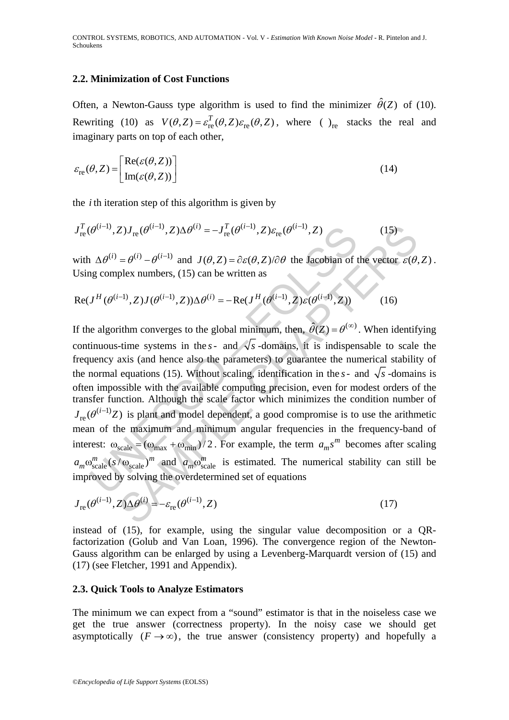### **2.2. Minimization of Cost Functions**

Often, a Newton-Gauss type algorithm is used to find the minimizer  $\hat{\theta}(Z)$  of (10). Rewriting (10) as  $V(\theta, Z) = \varepsilon_{\text{re}}^T(\theta, Z) \varepsilon_{\text{re}}(\theta, Z)$ , where ( )<sub>re</sub> stacks the real and imaginary parts on top of each other,

$$
\varepsilon_{\rm re}(\theta, Z) = \begin{bmatrix} \text{Re}(\varepsilon(\theta, Z)) \\ \text{Im}(\varepsilon(\theta, Z)) \end{bmatrix}
$$
 (14)

the *i* th iteration step of this algorithm is given by

$$
J_{\rm re}^{T}(\theta^{(i-1)}, Z)J_{\rm re}(\theta^{(i-1)}, Z)\Delta\theta^{(i)} = -J_{\rm re}^{T}(\theta^{(i-1)}, Z)\varepsilon_{\rm re}(\theta^{(i-1)}, Z)
$$
(15)

with  $\Delta \theta^{(i)} = \theta^{(i)} - \theta^{(i-1)}$  and  $J(\theta, Z) = \partial \varepsilon(\theta, Z)/\partial \theta$  the Jacobian of the vector  $\varepsilon(\theta, Z)$ . Using complex numbers, (15) can be written as

$$
Re(J^H(\theta^{(i-1)}, Z)J(\theta^{(i-1)}, Z)) \Delta \theta^{(i)} = -Re(J^H(\theta^{(i-1)}, Z)\varepsilon(\theta^{(i-1)}, Z))
$$
(16)

 $(\theta^{(i-1)}, Z)J_{\text{re}}(\theta^{(i-1)}, Z)\Delta\theta^{(i)} = -J_{\text{re}}^T(\theta^{(i-1)}, Z)\varepsilon_{\text{re}}(\theta^{(i-1)}, Z)$ <br>  $\Delta \theta^{(i)} = \theta^{(i)} - \theta^{(i-1)}$  and  $J(\theta, Z) = \partial \varepsilon(\theta, Z)/\partial \theta$  the Jacobian of t<br>
is a complex numbers, (15) can be written as<br>  $J^H(\theta^{(i-1)}, Z)J(\theta^{(i-1$ Z) $J_{\text{re}}(\theta^{(i-1)}, Z)\Delta\theta^{(i)} = -J_{\text{re}}^T(\theta^{(i-1)}, Z)\varepsilon_{\text{re}}(\theta^{(i-1)}, Z)$  (15)<br>  $= \theta^{(i)} - \theta^{(i-1)}$  and  $J(\theta, Z) = \partial \varepsilon(\theta, Z)/\partial \theta$  the lacebian of the vector  $\varepsilon(\theta, \theta)$ <br>
plex numbers, (15) can be written as<br>  $J_{\text{re}}(\theta^{(i-1)}, Z)J(\$ If the algorithm converges to the global minimum, then,  $\hat{\theta}(Z) = \theta^{(\infty)}$ . When identifying continuous-time systems in the  $s$ - and  $\sqrt{s}$ -domains, it is indispensable to scale the frequency axis (and hence also the parameters) to guarantee the numerical stability of the normal equations (15). Without scaling, identification in the  $s$ - and  $\sqrt{s}$ -domains is often impossible with the available computing precision, even for modest orders of the transfer function. Although the scale factor which minimizes the condition number of  $J_{\text{re}}(\theta^{(i-1)}Z)$  is plant and model dependent, a good compromise is to use the arithmetic mean of the maximum and minimum angular frequencies in the frequency-band of interest:  $\omega_{scale} = (\omega_{max} + \omega_{min})/2$ . For example, the term  $a_m s^m$  becomes after scaling  $a_m \omega_{scale}^m (s/\omega_{scale})^m$  and  $a_m \omega_{scale}^m$  is estimated. The numerical stability can still be improved by solving the overdetermined set of equations

$$
J_{\rm re}(\theta^{(i-1)}, Z)\Delta\theta^{(i)} = -\varepsilon_{\rm re}(\theta^{(i-1)}, Z)
$$
\n(17)

instead of (15), for example, using the singular value decomposition or a QRfactorization (Golub and Van Loan, 1996). The convergence region of the Newton-Gauss algorithm can be enlarged by using a Levenberg-Marquardt version of (15) and (17) (see Fletcher, 1991 and Appendix).

#### **2.3. Quick Tools to Analyze Estimators**

The minimum we can expect from a "sound" estimator is that in the noiseless case we get the true answer (correctness property). In the noisy case we should get asymptotically  $(F \to \infty)$ , the true answer (consistency property) and hopefully a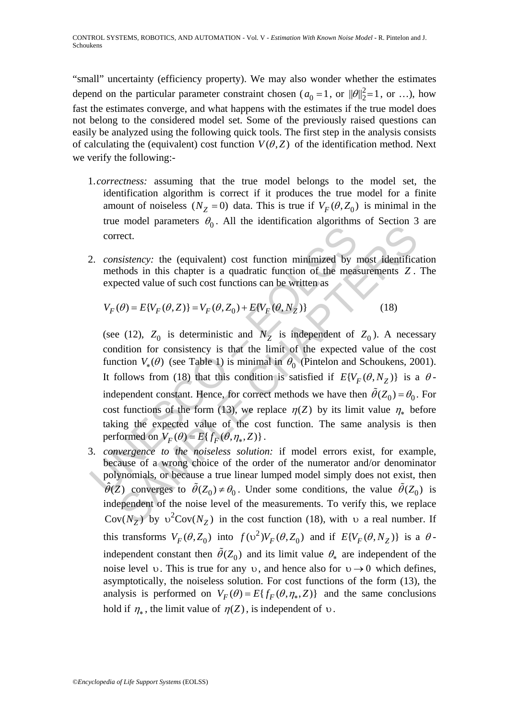"small" uncertainty (efficiency property). We may also wonder whether the estimates depend on the particular parameter constraint chosen ( $a_0 = 1$ , or  $||\theta||_2^2 = 1$ , or ...), how fast the estimates converge, and what happens with the estimates if the true model does not belong to the considered model set. Some of the previously raised questions can easily be analyzed using the following quick tools. The first step in the analysis consists of calculating the (equivalent) cost function  $V(\theta, Z)$  of the identification method. Next we verify the following:-

- 1.*correctness:* assuming that the true model belongs to the model set, the identification algorithm is correct if it produces the true model for a finite amount of noiseless  $(N_Z = 0)$  data. This is true if  $V_F(\theta, Z_0)$  is minimal in the true model parameters  $\theta_0$ . All the identification algorithms of Section 3 are correct.
- 2. *consistency:* the (equivalent) cost function minimized by most identification methods in this chapter is a quadratic function of the measurements *Z* . The expected value of such cost functions can be written as

$$
V_F(\theta) = E\{V_F(\theta, Z)\} = V_F(\theta, Z_0) + E\{V_F(\theta, N_Z)\}\tag{18}
$$

2. consistency: the (equivalent) cost function minimized by 1<br>methods in this chapter is a quadratic function of the measure<br>expected value of such cost functions can be written as<br> $V_F(\theta) = E\{V_F(\theta, Z)\} = V_F(\theta, Z_0) + E\{V_F(\theta, N_Z)\$ Fract.<br>
Frect.<br>
Frect.<br>
Fract. parameters o<sub>f</sub> Fin the deterministical dyposition of beetals in<br>
frect.<br>
Statency: the (equivalent) cost function minimized by most identificated<br>
ected value of such cost functions can be (see (12),  $Z_0$  is deterministic and  $N_Z$  is independent of  $Z_0$ ). A necessary condition for consistency is that the limit of the expected value of the cost function  $V_*(\theta)$  (see Table 1) is minimal in  $\theta_0$  (Pintelon and Schoukens, 2001). It follows from (18) that this condition is satisfied if  $E{V_F(\theta, N_Z)}$  is a  $\theta$ independent constant. Hence, for correct methods we have then  $\tilde{\theta}(Z_0) = \theta_0$ . For cost functions of the form (13), we replace  $\eta(Z)$  by its limit value  $\eta_*$  before taking the expected value of the cost function. The same analysis is then performed on  $V_F(\theta) = E\{ f_F(\theta, \eta_*, Z) \}.$ 

3. *convergence to the noiseless solution:* if model errors exist, for example, because of a wrong choice of the order of the numerator and/or denominator polynomials, or because a true linear lumped model simply does not exist, then  $\hat{\theta}(Z)$  converges to  $\tilde{\theta}(Z_0) \neq \theta_0$ . Under some conditions, the value  $\tilde{\theta}(Z_0)$  is independent of the noise level of the measurements. To verify this, we replace Cov( $N_Z$ ) by  $v^2$ Cov( $N_Z$ ) in the cost function (18), with v a real number. If this transforms  $V_F(\theta, Z_0)$  into  $f(\nu^2)V_F(\theta, Z_0)$  and if  $E\{V_F(\theta, N_Z)\}\$ is a  $\theta$ independent constant then  $\tilde{\theta}(Z_0)$  and its limit value  $\theta_*$  are independent of the noise level υ. This is true for any υ, and hence also for  $v \rightarrow 0$  which defines, asymptotically, the noiseless solution. For cost functions of the form (13), the analysis is performed on  $V_F(\theta) = E\{ f_F(\theta, \eta_*, Z) \}$  and the same conclusions hold if  $\eta_*$ , the limit value of  $\eta(Z)$ , is independent of  $\upsilon$ .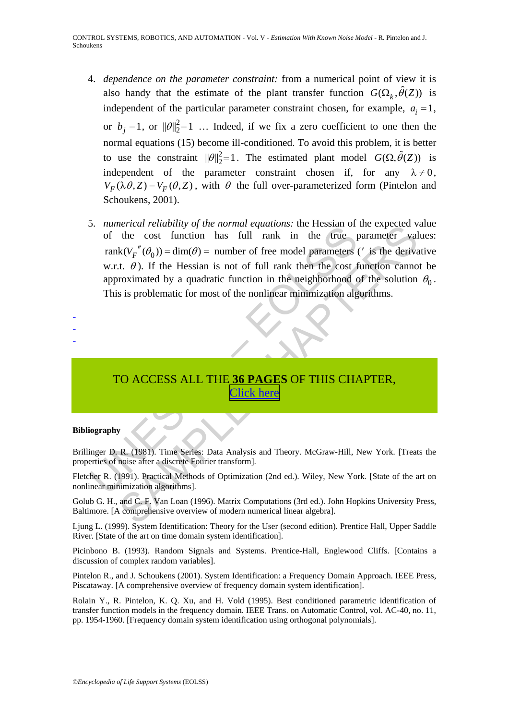- 4. *dependence on the parameter constraint:* from a numerical point of view it is also handy that the estimate of the plant transfer function  $G(\Omega_k, \hat{\theta}(Z))$  is independent of the particular parameter constraint chosen, for example,  $a_i = 1$ , or  $b_j = 1$ , or  $||\theta||_2^2 = 1$  ... Indeed, if we fix a zero coefficient to one then the normal equations (15) become ill-conditioned. To avoid this problem, it is better to use the constraint  $||\theta||_2^2 = 1$ . The estimated plant model  $G(\Omega, \hat{\theta}(Z))$  is independent of the parameter constraint chosen if, for any  $\lambda \neq 0$ ,  $V_F(\lambda \theta, Z) = V_F(\theta, Z)$ , with  $\theta$  the full over-parameterized form (Pintelon and Schoukens, 2001).
- of the real relation has full rank in the function<br>of the real function has full rank in the true p<br>rank( $V_F^T(\theta_0)$ ) = dim( $\theta$ ) = number of free model parameters w.r.t.  $\theta$ ). If the Hessian is not of full rank then the Fercar relationity of the normal equations: the resistant of the cost function has full rank in the fue parameter val<br>  $k(V_p''(\theta_0)) = \dim(\theta) =$  number of free model parameters (' is the derive<br>  $k(V_p''(\theta_0)) = \dim(\theta) =$  number of free 5. *numerical reliability of the normal equations:* the Hessian of the expected value of the cost function has full rank in the true parameter values:  $rank(V_{F}^{''}(\theta_{0})) = dim(\theta) =$  number of free model parameters (' is the derivative w.r.t.  $\theta$ ). If the Hessian is not of full rank then the cost function cannot be approximated by a quadratic function in the neighborhood of the solution  $\theta_0$ . This is problematic for most of the nonlinear minimization algorithms.

# TO ACCESS ALL THE **36 PAGES** OF THIS CHAPTER, Click here

#### **Bibliography**

- - -

Brillinger D. R. (1981). Time Series: Data Analysis and Theory. McGraw-Hill, New York. [Treats the properties of noise after a discrete Fourier transform].

Fletcher R. (1991). Practical Methods of Optimization (2nd ed.). Wiley, New York. [State of the art on nonlinear minimization algorithms].

Golub G. H., and C. F. Van Loan (1996). Matrix Computations (3rd ed.). John Hopkins University Press, Baltimore. [A comprehensive overview of modern numerical linear algebra].

Ljung L. (1999). System Identification: Theory for the User (second edition). Prentice Hall, Upper Saddle River. [State of the art on time domain system identification].

Picinbono B. (1993). Random Signals and Systems. Prentice-Hall, Englewood Cliffs. [Contains a discussion of complex random variables].

Pintelon R., and J. Schoukens (2001). System Identification: a Frequency Domain Approach. IEEE Press, Piscataway. [A comprehensive overview of frequency domain system identification].

Rolain Y., R. Pintelon, K. Q. Xu, and H. Vold (1995). Best conditioned parametric identification of transfer function models in the frequency domain. IEEE Trans. on Automatic Control, vol. AC-40, no. 11, pp. 1954-1960. [Frequency domain system identification using orthogonal polynomials].